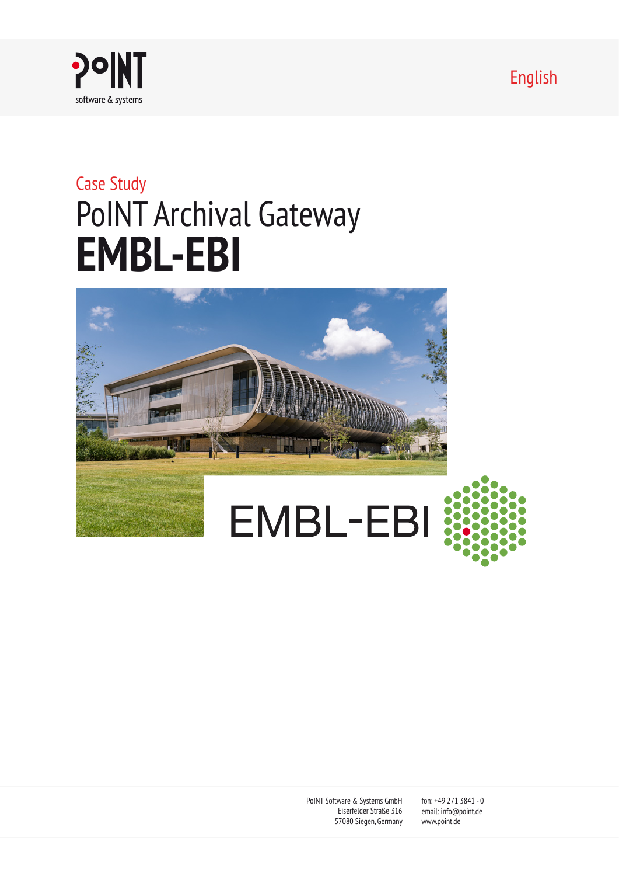English



# Case Study PoINT Archival Gateway **EMBL-EBI**



PoINT Software & Systems GmbH Eiserfelder Straße 316 57080 Siegen, Germany

fon: +49 271 3841 - 0 email: info@point.de www.point.de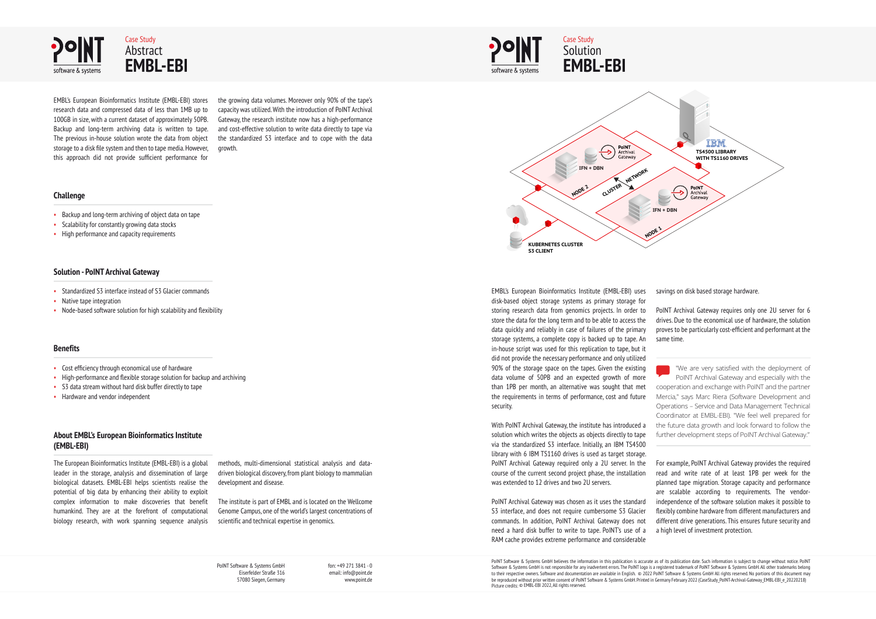PoINT Software & Systems GmbH Eiserfelder Straße 316 57080 Siegen, Germany fon: +49 271 3841 - 0 email: info@point.de www.point.de

PoINT Software & Systems GmbH believes the information in this publication is accurate as of its publication date. Such information is subject to change without notice. PoINT Software & Systems GmbH is not responsible for any inadvertent errors. The PoINT logo is a registered trademark of PoINT Software & Systems GmbH. All other trademarks belong to their respective owners. Software and documentation are available in English. © 2022 PoINT Software & Systems GmbH All rights reserved. No portions of this document may be reproduced without prior written consent of PoINT Software & Systems GmbH. Printed in Germany February 2022 (CaseStudy\_PoINT-Archival-Gateway\_EMBL-EBI\_e\_20220218) Picture credits: © EMBL-EBI 2022, All rights reserved.

- Backup and long-term archiving of object data on tape
- Scalability for constantly growing data stocks
- High performance and capacity requirements

- Standardized S3 interface instead of S3 Glacier commands
- Native tape integration
- Node-based software solution for high scalability and flexibility

EMBL's European Bioinformatics Institute (EMBL-EBI) stores research data and compressed data of less than 1MB up to 100GB in size, with a current dataset of approximately 50PB. Backup and long-term archiving data is written to tape. The previous in-house solution wrote the data from object storage to a disk file system and then to tape media. However, this approach did not provide sufficient performance for

the growing data volumes. Moreover only 90% of the tape's capacity was utilized. With the introduction of PoINT Archival Gateway, the research institute now has a high-performance and cost-effective solution to write data directly to tape via the standardized S3 interface and to cope with the data growth.

Case Study **Solution** 

#### **Challenge**

#### **Solution - PoINT Archival Gateway**

#### **Benefits**

- Cost efficiency through economical use of hardware
- High-performance and flexible storage solution for backup and archiving
- S3 data stream without hard disk buffer directly to tape
- Hardware and vendor independent

#### **About EMBL's European Bioinformatics Institute (EMBL-EBI)**

The European Bioinformatics Institute (EMBL-EBI) is a global leader in the storage, analysis and dissemination of large biological datasets. EMBL-EBI helps scientists realise the potential of big data by enhancing their ability to exploit complex information to make discoveries that benefit humankind. They are at the forefront of computational biology research, with work spanning sequence analysis

methods, multi-dimensional statistical analysis and datadriven biological discovery, from plant biology to mammalian development and disease.

The institute is part of EMBL and is located on the Wellcome Genome Campus, one of the world's largest concentrations of scientific and technical expertise in genomics.



EMBL's European Bioinformatics Institute (EMBL-EBI) uses disk-based object storage systems as primary storage for storing research data from genomics projects. In order to store the data for the long term and to be able to access the data quickly and reliably in case of failures of the primary storage systems, a complete copy is backed up to tape. An in-house script was used for this replication to tape, but it did not provide the necessary performance and only utilized 90% of the storage space on the tapes. Given the existing data volume of 50PB and an expected growth of more than 1PB per month, an alternative was sought that met the requirements in terms of performance, cost and future security.

With PoINT Archival Gateway, the institute has introduced a solution which writes the objects as objects directly to tape via the standardized S3 interface. Initially, an IBM TS4500 library with 6 IBM TS1160 drives is used as target storage. PoINT Archival Gateway required only a 2U server. In the course of the current second project phase, the installation

was extended to 12 drives and two 2U servers.

PoINT Archival Gateway was chosen as it uses the standard S3 interface, and does not require cumbersome S3 Glacier commands. In addition, PoINT Archival Gateway does not need a hard disk buffer to write to tape. PoINT's use of a RAM cache provides extreme performance and considerable



savings on disk based storage hardware.

PoINT Archival Gateway requires only one 2U server for 6 drives. Due to the economical use of hardware, the solution proves to be particularly cost-efficient and performant at the same time.

"We are very satisfied with the deployment of PoINT Archival Gateway and especially with the cooperation and exchange with PoINT and the partner Mercia," says Marc Riera (Software Development and Operations – Service and Data Management Technical Coordinator at EMBL-EBI). "We feel well prepared for the future data growth and look forward to follow the further development steps of PoINT Archival Gateway."

For example, PoINT Archival Gateway provides the required read and write rate of at least 1PB per week for the planned tape migration. Storage capacity and performance are scalable according to requirements. The vendorindependence of the software solution makes it possible to flexibly combine hardware from different manufacturers and different drive generations. This ensures future security and a high level of investment protection.